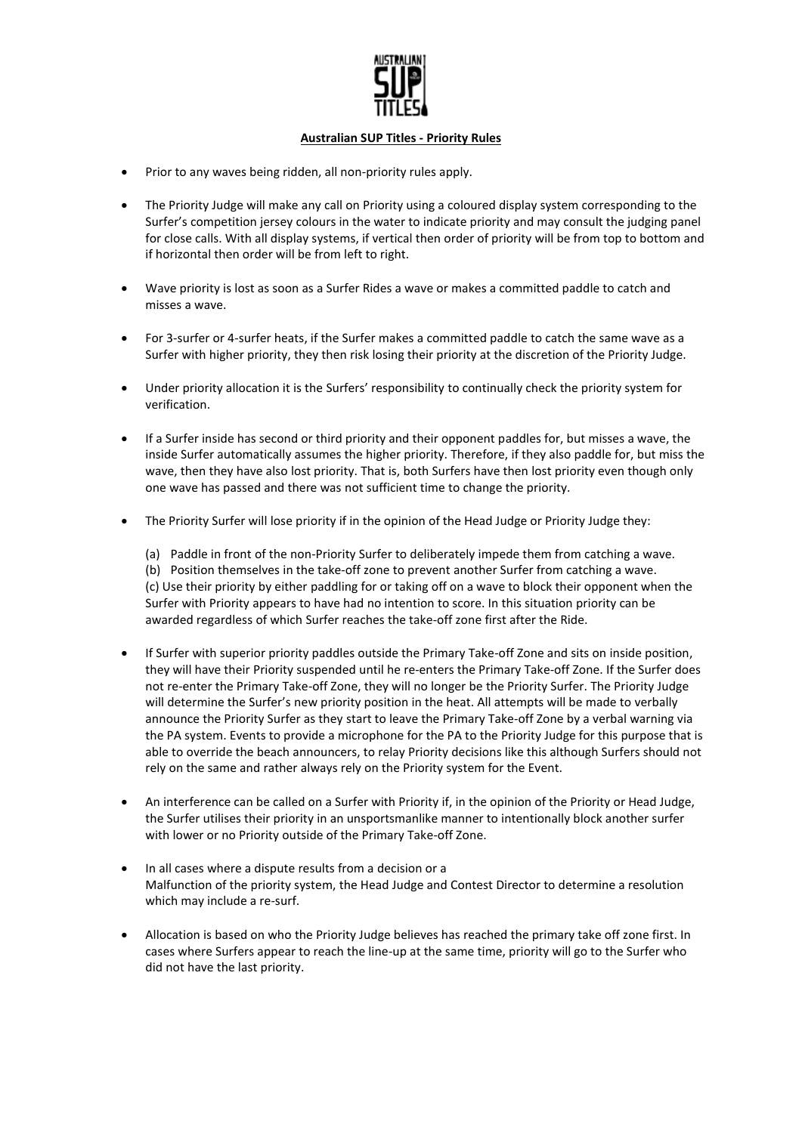

## **Australian SUP Titles - Priority Rules**

- Prior to any waves being ridden, all non-priority rules apply.
- The Priority Judge will make any call on Priority using a coloured display system corresponding to the Surfer's competition jersey colours in the water to indicate priority and may consult the judging panel for close calls. With all display systems, if vertical then order of priority will be from top to bottom and if horizontal then order will be from left to right.
- Wave priority is lost as soon as a Surfer Rides a wave or makes a committed paddle to catch and misses a wave.
- For 3-surfer or 4-surfer heats, if the Surfer makes a committed paddle to catch the same wave as a Surfer with higher priority, they then risk losing their priority at the discretion of the Priority Judge.
- Under priority allocation it is the Surfers' responsibility to continually check the priority system for verification.
- If a Surfer inside has second or third priority and their opponent paddles for, but misses a wave, the inside Surfer automatically assumes the higher priority. Therefore, if they also paddle for, but miss the wave, then they have also lost priority. That is, both Surfers have then lost priority even though only one wave has passed and there was not sufficient time to change the priority.
- The Priority Surfer will lose priority if in the opinion of the Head Judge or Priority Judge they:

(a) Paddle in front of the non-Priority Surfer to deliberately impede them from catching a wave. (b) Position themselves in the take-off zone to prevent another Surfer from catching a wave. (c) Use their priority by either paddling for or taking off on a wave to block their opponent when the Surfer with Priority appears to have had no intention to score. In this situation priority can be awarded regardless of which Surfer reaches the take-off zone first after the Ride.

- If Surfer with superior priority paddles outside the Primary Take-off Zone and sits on inside position, they will have their Priority suspended until he re-enters the Primary Take-off Zone. If the Surfer does not re-enter the Primary Take-off Zone, they will no longer be the Priority Surfer. The Priority Judge will determine the Surfer's new priority position in the heat. All attempts will be made to verbally announce the Priority Surfer as they start to leave the Primary Take-off Zone by a verbal warning via the PA system. Events to provide a microphone for the PA to the Priority Judge for this purpose that is able to override the beach announcers, to relay Priority decisions like this although Surfers should not rely on the same and rather always rely on the Priority system for the Event.
- An interference can be called on a Surfer with Priority if, in the opinion of the Priority or Head Judge, the Surfer utilises their priority in an unsportsmanlike manner to intentionally block another surfer with lower or no Priority outside of the Primary Take-off Zone.
- In all cases where a dispute results from a decision or a Malfunction of the priority system, the Head Judge and Contest Director to determine a resolution which may include a re-surf.
- Allocation is based on who the Priority Judge believes has reached the primary take off zone first. In cases where Surfers appear to reach the line-up at the same time, priority will go to the Surfer who did not have the last priority.